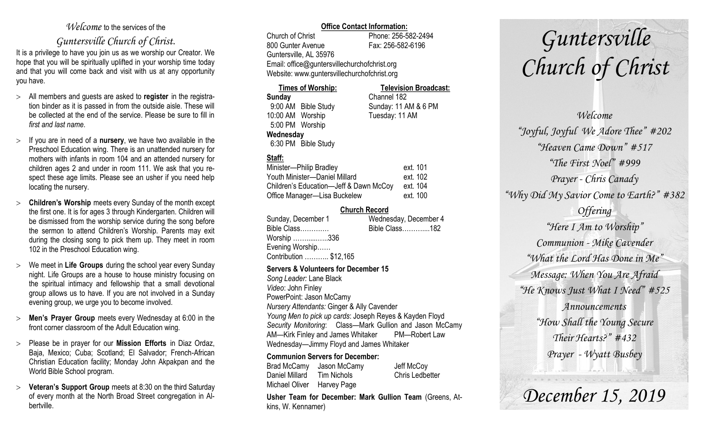#### *Welcome* to the services of the

### *Guntersville Church of Christ*.

It is a privilege to have you join us as we worship our Creator. We hope that you will be spiritually uplifted in your worship time today and that you will come back and visit with us at any opportunity you have.

- All members and guests are asked to **register** in the registration binder as it is passed in from the outside aisle. These will be collected at the end of the service. Please be sure to fill in *first and last name*.
- $\geq$  If you are in need of a **nursery**, we have two available in the Preschool Education wing. There is an unattended nursery for mothers with infants in room 104 and an attended nursery for children ages 2 and under in room 111. We ask that you respect these age limits. Please see an usher if you need help locating the nursery.
- **Children's Worship** meets every Sunday of the month except the first one. It is for ages 3 through Kindergarten. Children will be dismissed from the worship service during the song before the sermon to attend Children's Worship. Parents may exit during the closing song to pick them up. They meet in room 102 in the Preschool Education wing.
- We meet in **Life Groups** during the school year every Sunday night. Life Groups are a house to house ministry focusing on the spiritual intimacy and fellowship that a small devotional group allows us to have. If you are not involved in a Sunday evening group, we urge you to become involved.
- **Men's Prayer Group** meets every Wednesday at 6:00 in the front corner classroom of the Adult Education wing.
- Please be in prayer for our **Mission Efforts** in Diaz Ordaz, Baja, Mexico; Cuba; Scotland; El Salvador; French-African Christian Education facility; Monday John Akpakpan and the World Bible School program.
- **Veteran's Support Group** meets at 8:30 on the third Saturday of every month at the North Broad Street congregation in Albertville.

#### **Office Contact Information:**

Church of Christ Phone: 256-582-2494 800 Gunter Avenue Fax: 256-582-6196 Guntersville, AL 35976 Email: office@guntersvillechurchofchrist.org Website: www.guntersvillechurchofchrist.org

#### **Times of Worship: Television Broadcast:**

**Sunday** Channel 182 9:00 AM Bible Study Sunday: 11 AM & 6 PM 10:00 AM Worship Tuesday: 11 AM 5:00 PM Worship **Wednesday** 6:30 PM Bible Study

#### **Staff:**

| Minister-Philip Bradley                | ext. 101 |
|----------------------------------------|----------|
| Youth Minister-Daniel Millard          | ext. 102 |
| Children's Education-Jeff & Dawn McCoy | ext. 104 |
| Office Manager-Lisa Buckelew           | ext. 100 |

#### **Church Record**

| Sunday, December 1     | Wednesday, December 4 |
|------------------------|-----------------------|
| Bible Class            | Bible Class182        |
| Worship 336            |                       |
| Evening Worship        |                       |
| Contribution  \$12,165 |                       |
|                        |                       |

#### **Servers & Volunteers for December 15**

*Song Leader:* Lane Black *Video*: John Finley PowerPoint: Jason McCamy *Nursery Attendants:* Ginger & Ally Cavender *Young Men to pick up cards*: Joseph Reyes & Kayden Floyd *Security Monitoring*: Class—Mark Gullion and Jason McCamy AM—Kirk Finley and James Whitaker PM—Robert Law Wednesday—Jimmy Floyd and James Whitaker

#### **Communion Servers for December:**

Brad McCamy Jason McCamy Jeff McCoy Daniel Millard Tim Nichols Chris Ledbetter Michael Oliver Harvey Page

**Usher Team for December: Mark Gullion Team** (Greens, Atkins, W. Kennamer)

# *Guntersville Church of Christ*

*Welcome "Joyful, Joyful We Adore Thee" #202 "Heaven Came Down" #517 "The First Noel" #999 Prayer - Chris Canady "Why Did My Savior Come to Earth?" #382 Offering "Here I Am to Worship" Communion - Mike Cavender "What the Lord Has Done in Me" Message: When You Are Afraid "He Knows Just What I Need" #525 Announcements "How Shall the Young Secure Their Hearts?" #432 Prayer - Wyatt Busbey*

*December 15, 2019*